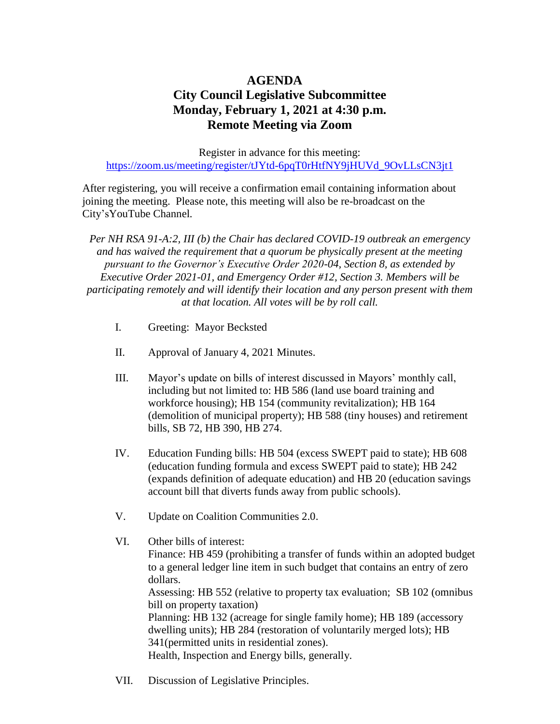## **AGENDA City Council Legislative Subcommittee Monday, February 1, 2021 at 4:30 p.m. Remote Meeting via Zoom**

Register in advance for this meeting: [https://zoom.us/meeting/register/tJYtd-6pqT0rHtfNY9jHUVd\\_9OvLLsCN3jt1](https://zoom.us/meeting/register/tJYtd-6pqT0rHtfNY9jHUVd_9OvLLsCN3jt1)

After registering, you will receive a confirmation email containing information about joining the meeting. Please note, this meeting will also be re-broadcast on the City'sYouTube Channel*.*

*Per NH RSA 91-A:2, III (b) the Chair has declared COVID-19 outbreak an emergency and has waived the requirement that a quorum be physically present at the meeting pursuant to the Governor's Executive Order 2020-04, Section 8, as extended by Executive Order 2021-01, and Emergency Order #12, Section 3. Members will be participating remotely and will identify their location and any person present with them at that location. All votes will be by roll call.* 

- I. Greeting: Mayor Becksted
- II. Approval of January 4, 2021 Minutes.
- III. Mayor's update on bills of interest discussed in Mayors' monthly call, including but not limited to: HB 586 (land use board training and workforce housing); HB 154 (community revitalization); HB 164 (demolition of municipal property); HB 588 (tiny houses) and retirement bills, SB 72, HB 390, HB 274.
- IV. Education Funding bills: HB 504 (excess SWEPT paid to state); HB 608 (education funding formula and excess SWEPT paid to state); HB 242 (expands definition of adequate education) and HB 20 (education savings account bill that diverts funds away from public schools).
- V. Update on Coalition Communities 2.0.
- VI. Other bills of interest: Finance: HB 459 (prohibiting a transfer of funds within an adopted budget to a general ledger line item in such budget that contains an entry of zero dollars. Assessing: HB 552 (relative to property tax evaluation; SB 102 (omnibus bill on property taxation) Planning: HB 132 (acreage for single family home); HB 189 (accessory dwelling units); HB 284 (restoration of voluntarily merged lots); HB 341(permitted units in residential zones). Health, Inspection and Energy bills, generally.
- VII. Discussion of Legislative Principles.